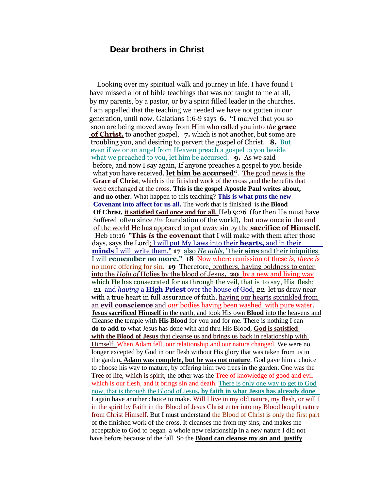## **Dear brothers in Christ**

 Looking over my spiritual walk and journey in life. I have found I have missed a lot of bible teachings that was not taught to me at all, by my parents, by a pastor, or by a spirit filled leader in the churches. I am appalled that the teaching we needed we have not gotten in our generation, until now. Galatians 1:6-9 says **6. "**I marvel that you so soon are being moved away from Him who called you into *the* **grace of Christ,** to another gospel, **7.** which is not another, but some are troubling you, and desiring to pervert the gospel of Christ. **8.** But even if we or an angel from Heaven preach a gospel to you beside what we preached to you, let him be accursed. **9.** As we said before, and now I say again, If anyone preaches a gospel to you beside what you have received, **let him be accursed"**. The good news is the **Grace of Christ**, which is the finished work of the cross ,and the benefits that were exchanged at the cross. **This is the gospel Apostle Paul writes about, and no other.** What happen to this teaching? **This is what puts the new Covenant into affect for us all.** The work that is finished is the **Blood Of Christ, it satisfied God once and for all.** Heb 9:26 (for then He must have Suffered often since *the* foundation of the world), but now once in the end of the world He has appeared to put away sin by the **sacrifice of Himself**. Heb 10:16 "**This** *is* **the covenant** that I will make with them after those days, says the Lord; I will put My Laws into their **hearts,** and in their **minds** I will write them," **17** also *He adds*, "their **sins** and their iniquities I will **remember no more." 18** Now where remission of these *is, there is* no more offering for sin. **19** Therefore, brothers, having boldness to enter into the *Holy of* Holies by the blood of Jesus**, 20** by a new and living way which He has consecrated for us through the veil, that is to say, His flesh;  **21** and *having* a **High Priest** over the house of God, **22** let us draw near with a true heart in full assurance of faith, having our hearts sprinkled from an **evil conscience** and *our* bodies having been washed with pure water.  **Jesus sacrificed Himself** in the earth, and took His own **Blood** into the heavens and Cleanse the temple with **His Blood** for you and for me. There is nothing I can **do to add to** what Jesus has done with and thru His Blood, **God is satisfied**  with the Blood of Jesus that cleanse us and brings us back in relationship with Himself. When Adam fell, our relationship and our nature changed. We were no longer excepted by God in our flesh without His glory that was taken from us in the garden**. Adam was complete, but he was not mature**, God gave him a choice to choose his way to mature, by offering him two trees in the garden. One was the Tree of life, which is spirit, the other was the Tree of knowledge of good and evil which is our flesh, and it brings sin and death. There is only one way to get to God now, that is through the Blood of Jesus**, by faith in what Jesus has already done**. I again have another choice to make. Will I live in my old nature, my flesh, or will I in the spirit by Faith in the Blood of Jesus Christ enter into my Blood bought nature from Christ Himself. But I must understand the Blood of Christ is only the first part of the finished work of the cross. It cleanses me from my sins; and makes me acceptable to God to began a whole new relationship in a new nature I did not have before because of the fall. So the **Blood can cleanse my sin and justify**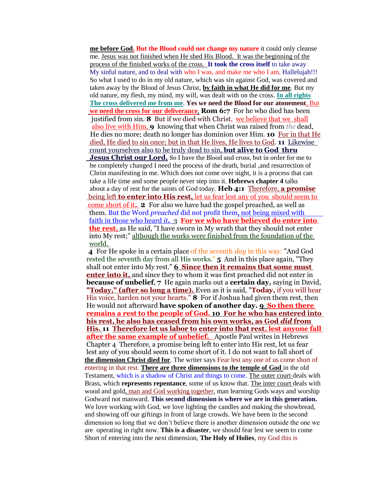**me before God. But the Blood could not change my nature** it could only cleanse me. Jesus was not finished when He shed His Blood. It was the beginning of the process of the finished works of the cross. **It took the cross itself** to take away My sinful nature, and to deal with who I was, and make me who I am. Hallelujah!!! So what I used to do in my old nature, which was sin against God, was covered and taken away by the Blood of Jesus Christ, **by faith in what He did for me**. But my old nature, my flesh, my mind, my will, was dealt with on the cross. **In all rights The cross delivered me from me**. **Yes we need the Blood for our atonement**, But **we need the cross for our deliverance**, **Rom 6:7** For he who died has been justified from sin. **8** But if we died with Christ, we believe that we shall also live with Him, **9** knowing that when Christ was raised from *the* dead, He dies no more; death no longer has dominion over Him. **10** For in that He died, He died to sin once; but in that He lives, He lives to God. **11** Likewise count yourselves also to be truly dead to sin, **but alive to God thru Jesus Christ our Lord.** So I have the Blood and cross, but in order for me to be completely changed I need the process of the death, burial ,and resurrection of Christ manifesting in me. Which does not come over night, it is a process that can take a life time and some people never step into it. **Hebrews chapter 4** talks about a day of rest for the saints of God today. **Heb 4:1** Therefore, **a promise** being left **to enter into His rest,** let us fear lest any of you should seem to come short of it**. 2** For also we have had the gospel preached, as well as them. But the Word *preached* did not profit them, not being mixed with faith in those who heard *it***.** 3 **For we who have believed do enter into the rest,** as He said, "I have sworn in My wrath that they should not enter into My rest;" although the works were finished from the foundation of the world.

 **4** For He spoke in a certain place of the seventh *day* in this way: "And God rested the seventh day from all His works." **5** And in this place again, "They shall not enter into My rest." **6 Since then it remains that some must enter into it,** and since they to whom it was first preached did not enter in **because of unbelief**, **7** He again marks out a **certain day,** saying in David, **"Today," (after so long a time).** Even as it is said, "**Today,** if you will hear His voice, harden not your hearts." **8** For if Joshua had given them rest, then He would not afterward **have spoken of another day. 9 So then there remains a rest to the people of God. 10 For he who has entered into his rest, he also has ceased from his own works, as God** *did* **from His. 11 Therefore let us labor to enter into that rest, lest anyone fall after the same example of unbelief.** Apostle Paul writes in Hebrews Chapter 4 Therefore, a promise being left to enter into His rest, let us fear lest any of you should seem to come short of it. I do not want to fall short of **the dimension Christ died for**. The writer says Fear lest any one of us come short of entering in that rest. **There are three dimensions to the temple of God** in the old Testament, which is a shadow of Christ and things to come. The outer court deals with Brass, which **represents repentance**, some of us know that. The inter court deals with wood and gold, man and God working together, man learning Gods ways and worship Godward not manward. **This second dimension is where we are in this generation.** We love working with God, we love lighting the candles and making the showbread, and showing off our giftings in front of large crowds. We have been in the second dimension so long that we don't believe there is another dimension outside the one we are operating in right now. **This is a disaster**, we should fear lest we seem to come Short of entering into the next dimension, **The Holy of Holies**, my God this is